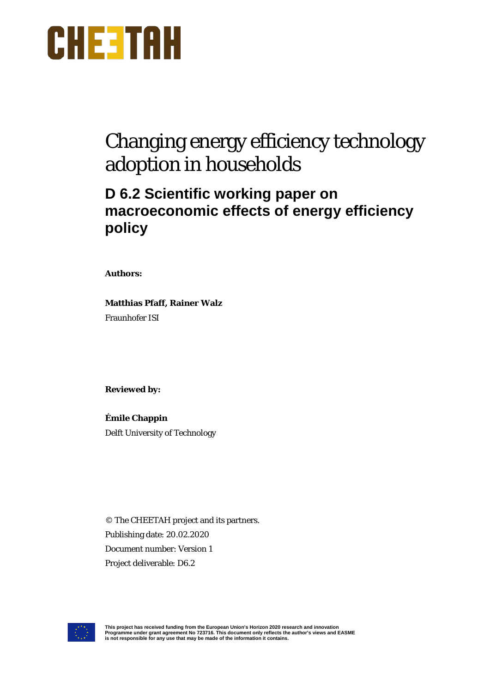

# Changing energy efficiency technology adoption in households

## **D 6.2 Scientific working paper on macroeconomic effects of energy efficiency policy**

**Authors:** 

**Matthias Pfaff, Rainer Walz** Fraunhofer ISI

**Reviewed by:**

**Émile Chappin** Delft University of Technology

© The CHEETAH project and its partners. Publishing date: 20.02.2020 Document number: Version 1 Project deliverable: D6.2



This project has received funding from the European Union's Horizon 2020 research and innovation<br>Programme under grant agreement No 723716. This document only reflects the author's views and EASME<br>is not responsible for an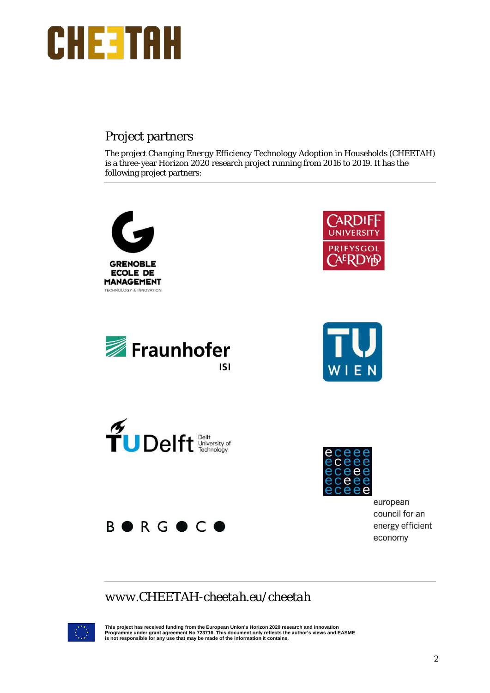

## Project partners

The project *Changing Energy Efficiency Technology Adoption in Households* (CHEETAH) is a three-year Horizon 2020 research project running from 2016 to 2019. It has the following project partners:



## *[www.CHEETAH-cheetah.eu/cheetah](https://www.briskee-cheetah.eu/cheetah/)*



This project has received funding from the European Union's Horizon 2020 research and innovation<br>Programme under grant agreement No 723716. This document only reflects the author's views and EASME<br>is not responsible for an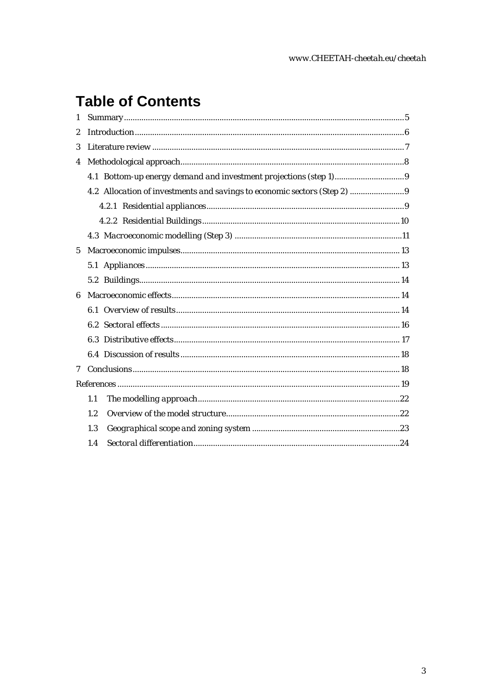# **Table of Contents**

| 1              |     |  |
|----------------|-----|--|
| $\overline{2}$ |     |  |
| 3              |     |  |
| 4              |     |  |
|                |     |  |
|                |     |  |
|                |     |  |
|                |     |  |
|                |     |  |
| $\mathbf 5$    |     |  |
|                |     |  |
|                |     |  |
| 6              |     |  |
|                |     |  |
|                |     |  |
|                |     |  |
|                |     |  |
| 7              |     |  |
|                |     |  |
|                | 1.1 |  |
|                | 1.2 |  |
|                | 1.3 |  |
|                | 1.4 |  |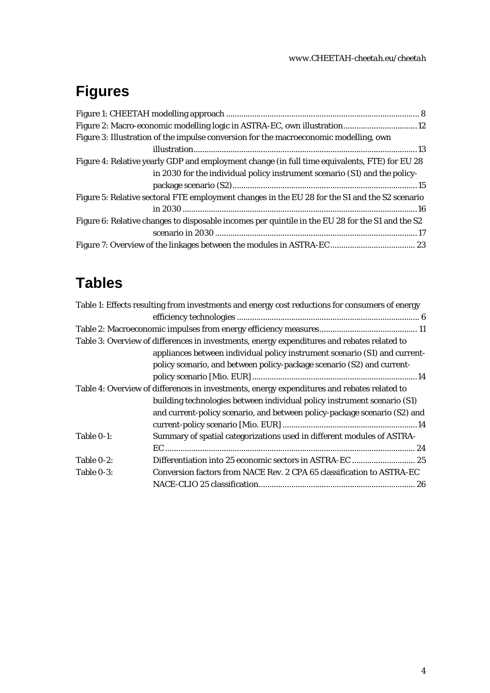#### *[www.CHEETAH-cheetah.eu/cheetah](https://www.briskee-cheetah.eu/cheetah/)*

# **Figures**

| Figure 3: Illustration of the impulse conversion for the macroeconomic modelling, own            |
|--------------------------------------------------------------------------------------------------|
|                                                                                                  |
| Figure 4: Relative yearly GDP and employment change (in full time equivalents, FTE) for EU 28    |
| in 2030 for the individual policy instrument scenario (S1) and the policy-                       |
|                                                                                                  |
| Figure 5: Relative sectoral FTE employment changes in the EU 28 for the S1 and the S2 scenario   |
|                                                                                                  |
| Figure 6: Relative changes to disposable incomes per quintile in the EU 28 for the S1 and the S2 |
|                                                                                                  |
|                                                                                                  |

# **Tables**

|               | Table 1: Effects resulting from investments and energy cost reductions for consumers of energy |
|---------------|------------------------------------------------------------------------------------------------|
|               |                                                                                                |
|               |                                                                                                |
|               | Table 3: Overview of differences in investments, energy expenditures and rebates related to    |
|               | appliances between individual policy instrument scenario (S1) and current-                     |
|               | policy scenario, and between policy-package scenario (S2) and current-                         |
|               |                                                                                                |
|               | Table 4: Overview of differences in investments, energy expenditures and rebates related to    |
|               | building technologies between individual policy instrument scenario (S1)                       |
|               | and current-policy scenario, and between policy-package scenario (S2) and                      |
|               |                                                                                                |
| Table 0-1:    | Summary of spatial categorizations used in different modules of ASTRA-                         |
|               |                                                                                                |
| Table $0-2$ : | Differentiation into 25 economic sectors in ASTRA-EC  25                                       |
| Table 0-3:    | Conversion factors from NACE Rev. 2 CPA 65 classification to ASTRA-EC                          |
|               |                                                                                                |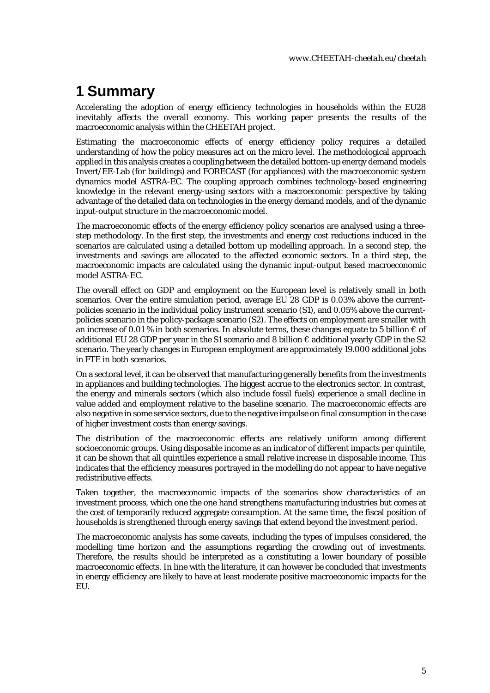## <span id="page-4-0"></span>**1 Summary**

Accelerating the adoption of energy efficiency technologies in households within the EU28 inevitably affects the overall economy. This working paper presents the results of the macroeconomic analysis within the CHEETAH project.

Estimating the macroeconomic effects of energy efficiency policy requires a detailed understanding of how the policy measures act on the micro level. The methodological approach applied in this analysis creates a coupling between the detailed bottom-up energy demand models Invert/EE-Lab (for buildings) and FORECAST (for appliances) with the macroeconomic system dynamics model ASTRA-EC. The coupling approach combines technology-based engineering knowledge in the relevant energy-using sectors with a macroeconomic perspective by taking advantage of the detailed data on technologies in the energy demand models, and of the dynamic input-output structure in the macroeconomic model.

The macroeconomic effects of the energy efficiency policy scenarios are analysed using a threestep methodology. In the first step, the investments and energy cost reductions induced in the scenarios are calculated using a detailed bottom up modelling approach. In a second step, the investments and savings are allocated to the affected economic sectors. In a third step, the macroeconomic impacts are calculated using the dynamic input-output based macroeconomic model ASTRA-EC.

The overall effect on GDP and employment on the European level is relatively small in both scenarios. Over the entire simulation period, average EU 28 GDP is 0.03% above the currentpolicies scenario in the individual policy instrument scenario (S1), and 0.05% above the currentpolicies scenario in the policy-package scenario (S2). The effects on employment are smaller with an increase of 0.01 % in both scenarios. In absolute terms, these changes equate to 5 billion  $\epsilon$  of additional EU 28 GDP per year in the S1 scenario and 8 billion  $\epsilon$  additional yearly GDP in the S2 scenario. The yearly changes in European employment are approximately 19.000 additional jobs in FTE in both scenarios.

On a sectoral level, it can be observed that manufacturing generally benefits from the investments in appliances and building technologies. The biggest accrue to the electronics sector. In contrast, the energy and minerals sectors (which also include fossil fuels) experience a small decline in value added and employment relative to the baseline scenario. The macroeconomic effects are also negative in some service sectors, due to the negative impulse on final consumption in the case of higher investment costs than energy savings.

The distribution of the macroeconomic effects are relatively uniform among different socioeconomic groups. Using disposable income as an indicator of different impacts per quintile, it can be shown that all quintiles experience a small relative increase in disposable income. This indicates that the efficiency measures portrayed in the modelling do not appear to have negative redistributive effects.

Taken together, the macroeconomic impacts of the scenarios show characteristics of an investment process, which one the one hand strengthens manufacturing industries but comes at the cost of temporarily reduced aggregate consumption. At the same time, the fiscal position of households is strengthened through energy savings that extend beyond the investment period.

The macroeconomic analysis has some caveats, including the types of impulses considered, the modelling time horizon and the assumptions regarding the crowding out of investments. Therefore, the results should be interpreted as a constituting a lower boundary of possible macroeconomic effects. In line with the literature, it can however be concluded that investments in energy efficiency are likely to have at least moderate positive macroeconomic impacts for the EU.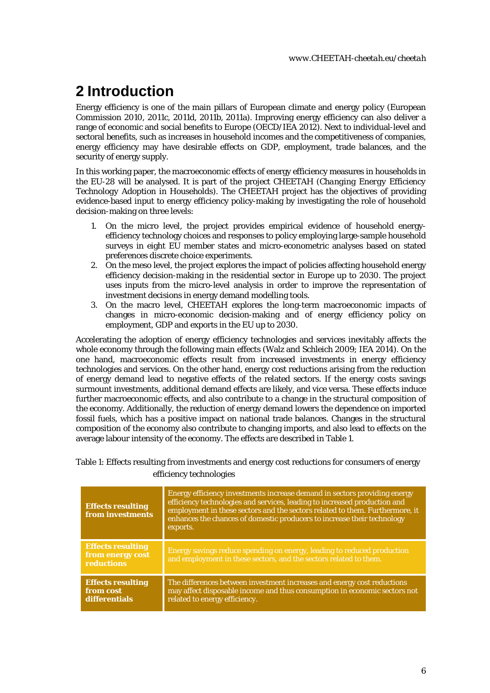# <span id="page-5-0"></span>**2 Introduction**

Energy efficiency is one of the main pillars of European climate and energy policy (European Commission 2010, 2011c, 2011d, 2011b, 2011a). Improving energy efficiency can also deliver a range of economic and social benefits to Europe (OECD/IEA 2012). Next to individual-level and sectoral benefits, such as increases in household incomes and the competitiveness of companies, energy efficiency may have desirable effects on GDP, employment, trade balances, and the security of energy supply.

In this working paper, the macroeconomic effects of energy efficiency measures in households in the EU-28 will be analysed. It is part of the project CHEETAH (*Changing Energy Efficiency Technology Adoption in Households*). The CHEETAH project has the objectives of providing evidence-based input to energy efficiency policy-making by investigating the role of household decision-making on three levels:

- 1. On the micro level, the project provides empirical evidence of household energyefficiency technology choices and responses to policy employing large-sample household surveys in eight EU member states and micro-econometric analyses based on stated preferences discrete choice experiments.
- 2. On the meso level, the project explores the impact of policies affecting household energy efficiency decision-making in the residential sector in Europe up to 2030. The project uses inputs from the micro-level analysis in order to improve the representation of investment decisions in energy demand modelling tools.
- 3. On the macro level, CHEETAH explores the long-term macroeconomic impacts of changes in micro-economic decision-making and of energy efficiency policy on employment, GDP and exports in the EU up to 2030.

Accelerating the adoption of energy efficiency technologies and services inevitably affects the whole economy through the following main effects (Walz and Schleich 2009; IEA 2014). On the one hand, macroeconomic effects result from increased investments in energy efficiency technologies and services. On the other hand, energy cost reductions arising from the reduction of energy demand lead to negative effects of the related sectors. If the energy costs savings surmount investments, additional demand effects are likely, and vice versa. These effects induce further macroeconomic effects, and also contribute to a change in the structural composition of the economy. Additionally, the reduction of energy demand lowers the dependence on imported fossil fuels, which has a positive impact on national trade balances. Changes in the structural composition of the economy also contribute to changing imports, and also lead to effects on the average labour intensity of the economy. The effects are described in Table 1.

<span id="page-5-1"></span>Table 1: Effects resulting from investments and energy cost reductions for consumers of energy efficiency technologies

| <b>Effects resulting</b><br>from investments               | Energy efficiency investments increase demand in sectors providing energy<br>efficiency technologies and services, leading to increased production and<br>employment in these sectors and the sectors related to them. Furthermore, it<br>enhances the chances of domestic producers to increase their technology<br>exports. |
|------------------------------------------------------------|-------------------------------------------------------------------------------------------------------------------------------------------------------------------------------------------------------------------------------------------------------------------------------------------------------------------------------|
| <b>Effects resulting</b><br>from energy cost<br>reductions | Energy savings reduce spending on energy, leading to reduced production<br>and employment in these sectors, and the sectors related to them.                                                                                                                                                                                  |
| <b>Effects resulting</b><br>from cost<br>differentials     | The differences between investment increases and energy cost reductions<br>may affect disposable income and thus consumption in economic sectors not<br>related to energy efficiency.                                                                                                                                         |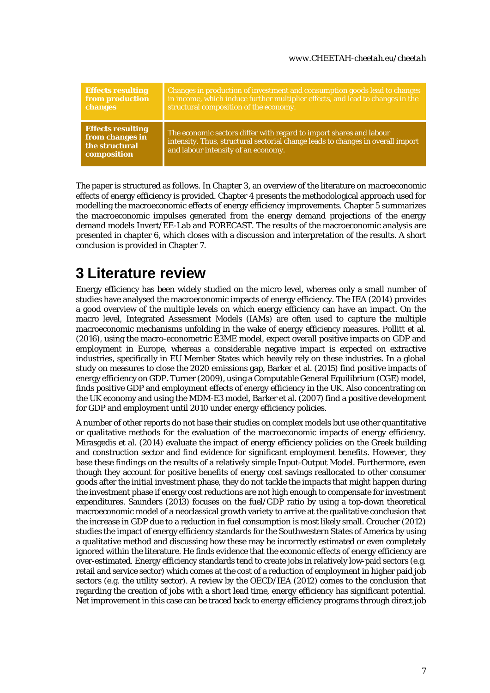| <b>Effects resulting</b>                                                     | Changes in production of investment and consumption goods lead to changes                                                                                                                     |
|------------------------------------------------------------------------------|-----------------------------------------------------------------------------------------------------------------------------------------------------------------------------------------------|
| from production                                                              | in income, which induce further multiplier effects, and lead to changes in the                                                                                                                |
| changes                                                                      | structural composition of the economy.                                                                                                                                                        |
| <b>Effects resulting</b><br>from changes in<br>the structural<br>composition | The economic sectors differ with regard to import shares and labour<br>intensity. Thus, structural sectorial change leads to changes in overall import<br>and labour intensity of an economy. |

The paper is structured as follows. In Chapter [3,](#page-6-0) an overview of the literature on macroeconomic effects of energy efficiency is provided. Chapter [4](#page-7-0) presents the methodological approach used for modelling the macroeconomic effects of energy efficiency improvements. Chapter [5](#page-12-0) summarizes the macroeconomic impulses generated from the energy demand projections of the energy demand models Invert/EE-Lab and FORECAST. The results of the macroeconomic analysis are presented in chapter [6,](#page-13-1) which closes with a discussion and interpretation of the results. A short conclusion is provided in Chapte[r 7.](#page-17-1)

## <span id="page-6-0"></span>**3 Literature review**

Energy efficiency has been widely studied on the micro level, whereas only a small number of studies have analysed the macroeconomic impacts of energy efficiency. The IEA (2014) provides a good overview of the multiple levels on which energy efficiency can have an impact. On the macro level, Integrated Assessment Models (IAMs) are often used to capture the multiple macroeconomic mechanisms unfolding in the wake of energy efficiency measures. Pollitt et al. (2016), using the macro-econometric E3ME model, expect overall positive impacts on GDP and employment in Europe, whereas a considerable negative impact is expected on extractive industries, specifically in EU Member States which heavily rely on these industries. In a global study on measures to close the 2020 emissions gap, Barker et al. (2015) find positive impacts of energy efficiency on GDP. Turner (2009), using a Computable General Equilibrium (CGE) model, finds positive GDP and employment effects of energy efficiency in the UK. Also concentrating on the UK economy and using the MDM-E3 model, Barker et al. (2007) find a positive development for GDP and employment until 2010 under energy efficiency policies.

A number of other reports do not base their studies on complex models but use other quantitative or qualitative methods for the evaluation of the macroeconomic impacts of energy efficiency. Mirasgedis et al. (2014) evaluate the impact of energy efficiency policies on the Greek building and construction sector and find evidence for significant employment benefits. However, they base these findings on the results of a relatively simple Input-Output Model. Furthermore, even though they account for positive benefits of energy cost savings reallocated to other consumer goods after the initial investment phase, they do not tackle the impacts that might happen during the investment phase if energy cost reductions are not high enough to compensate for investment expenditures. Saunders (2013) focuses on the fuel/GDP ratio by using a top-down theoretical macroeconomic model of a neoclassical growth variety to arrive at the qualitative conclusion that the increase in GDP due to a reduction in fuel consumption is most likely small. Croucher (2012) studies the impact of energy efficiency standards for the Southwestern States of America by using a qualitative method and discussing how these may be incorrectly estimated or even completely ignored within the literature. He finds evidence that the economic effects of energy efficiency are over-estimated. Energy efficiency standards tend to create jobs in relatively low-paid sectors (e.g. retail and service sector) which comes at the cost of a reduction of employment in higher paid job sectors (e.g. the utility sector). A review by the OECD/IEA (2012) comes to the conclusion that regarding the creation of jobs with a short lead time, energy efficiency has significant potential. Net improvement in this case can be traced back to energy efficiency programs through direct job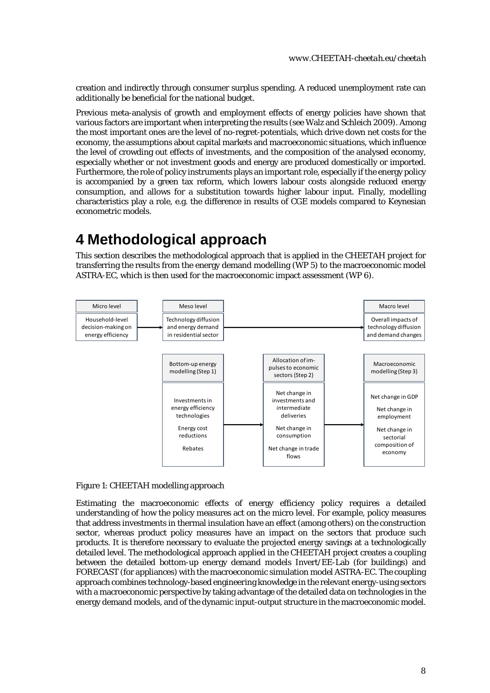creation and indirectly through consumer surplus spending. A reduced unemployment rate can additionally be beneficial for the national budget.

Previous meta-analysis of growth and employment effects of energy policies have shown that various factors are important when interpreting the results (see Walz and Schleich 2009). Among the most important ones are the level of no-regret-potentials, which drive down net costs for the economy, the assumptions about capital markets and macroeconomic situations, which influence the level of crowding out effects of investments, and the composition of the analysed economy, especially whether or not investment goods and energy are produced domestically or imported. Furthermore, the role of policy instruments plays an important role, especially if the energy policy is accompanied by a green tax reform, which lowers labour costs alongside reduced energy consumption, and allows for a substitution towards higher labour input. Finally, modelling characteristics play a role, e.g. the difference in results of CGE models compared to Keynesian econometric models.

## <span id="page-7-0"></span>**4 Methodological approach**

This section describes the methodological approach that is applied in the CHEETAH project for transferring the results from the energy demand modelling (WP 5) to the macroeconomic model ASTRA-EC, which is then used for the macroeconomic impact assessment (WP 6).



#### <span id="page-7-1"></span>Figure 1: CHEETAH modelling approach

Estimating the macroeconomic effects of energy efficiency policy requires a detailed understanding of how the policy measures act on the micro level. For example, policy measures that address investments in thermal insulation have an effect (among others) on the construction sector, whereas product policy measures have an impact on the sectors that produce such products. It is therefore necessary to evaluate the projected energy savings at a technologically detailed level. The methodological approach applied in the CHEETAH project creates a coupling between the detailed bottom-up energy demand models Invert/EE-Lab (for buildings) and FORECAST (for appliances) with the macroeconomic simulation model ASTRA-EC. The coupling approach combines technology-based engineering knowledge in the relevant energy-using sectors with a macroeconomic perspective by taking advantage of the detailed data on technologies in the energy demand models, and of the dynamic input-output structure in the macroeconomic model.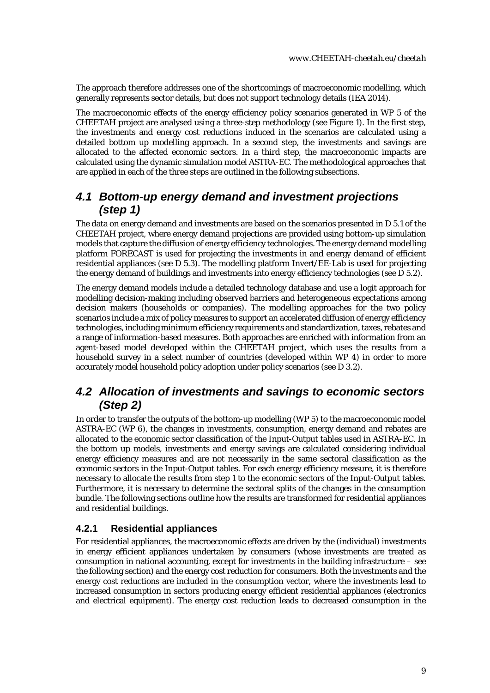The approach therefore addresses one of the shortcomings of macroeconomic modelling, which generally represents sector details, but does not support technology details (IEA 2014).

The macroeconomic effects of the energy efficiency policy scenarios generated in WP 5 of the CHEETAH project are analysed using a three-step methodology (see [Figure 1\)](#page-7-1). In the first step, the investments and energy cost reductions induced in the scenarios are calculated using a detailed bottom up modelling approach. In a second step, the investments and savings are allocated to the affected economic sectors. In a third step, the macroeconomic impacts are calculated using the dynamic simulation model ASTRA-EC. The methodological approaches that are applied in each of the three steps are outlined in the following subsections.

### <span id="page-8-0"></span>*4.1 Bottom-up energy demand and investment projections (step 1)*

The data on energy demand and investments are based on the scenarios presented in D 5.1 of the CHEETAH project, where energy demand projections are provided using bottom-up simulation models that capture the diffusion of energy efficiency technologies. The energy demand modelling platform FORECAST is used for projecting the investments in and energy demand of efficient residential appliances (see D 5.3). The modelling platform Invert/EE-Lab is used for projecting the energy demand of buildings and investments into energy efficiency technologies (see D 5.2).

The energy demand models include a detailed technology database and use a logit approach for modelling decision-making including observed barriers and heterogeneous expectations among decision makers (households or companies). The modelling approaches for the two policy scenarios include a mix of policy measures to support an accelerated diffusion of energy efficiency technologies, including minimum efficiency requirements and standardization, taxes, rebates and a range of information-based measures. Both approaches are enriched with information from an agent-based model developed within the CHEETAH project, which uses the results from a household survey in a select number of countries (developed within WP 4) in order to more accurately model household policy adoption under policy scenarios (see D 3.2).

### <span id="page-8-1"></span>*4.2 Allocation of investments and savings to economic sectors (Step 2)*

In order to transfer the outputs of the bottom-up modelling (WP 5) to the macroeconomic model ASTRA-EC (WP 6), the changes in investments, consumption, energy demand and rebates are allocated to the economic sector classification of the Input-Output tables used in ASTRA-EC. In the bottom up models, investments and energy savings are calculated considering individual energy efficiency measures and are not necessarily in the same sectoral classification as the economic sectors in the Input-Output tables. For each energy efficiency measure, it is therefore necessary to allocate the results from step 1 to the economic sectors of the Input-Output tables. Furthermore, it is necessary to determine the sectoral splits of the changes in the consumption bundle. The following sections outline how the results are transformed for residential appliances and residential buildings.

#### <span id="page-8-2"></span>**4.2.1 Residential appliances**

For residential appliances, the macroeconomic effects are driven by the (individual) investments in energy efficient appliances undertaken by consumers (whose investments are treated as consumption in national accounting, except for investments in the building infrastructure – see the following section) and the energy cost reduction for consumers. Both the investments and the energy cost reductions are included in the consumption vector, where the investments lead to increased consumption in sectors producing energy efficient residential appliances (electronics and electrical equipment). The energy cost reduction leads to decreased consumption in the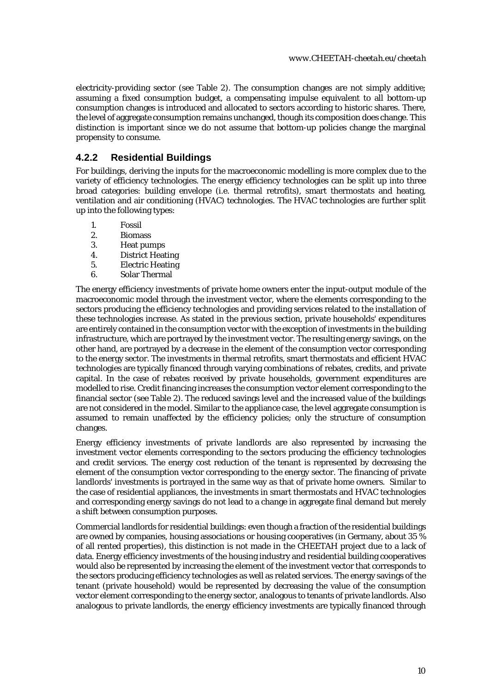electricity-providing sector (see [Table 2\)](#page-10-1). The consumption changes are not simply additive; assuming a fixed consumption budget, a compensating impulse equivalent to all bottom-up consumption changes is introduced and allocated to sectors according to historic shares. There, the level of aggregate consumption remains unchanged, though its composition does change. This distinction is important since we do not assume that bottom-up policies change the marginal propensity to consume.

### <span id="page-9-0"></span>**4.2.2 Residential Buildings**

For buildings, deriving the inputs for the macroeconomic modelling is more complex due to the variety of efficiency technologies. The energy efficiency technologies can be split up into three broad categories: building envelope (i.e. thermal retrofits), smart thermostats and heating, ventilation and air conditioning (HVAC) technologies. The HVAC technologies are further split up into the following types:

- 1. Fossil
- 2. Biomass
- 3. Heat pumps
- 4. District Heating
- 5. Electric Heating
- 6. Solar Thermal

The energy efficiency investments of private home owners enter the input-output module of the macroeconomic model through the investment vector, where the elements corresponding to the sectors producing the efficiency technologies and providing services related to the installation of these technologies increase. As stated in the previous section, private households' expenditures are entirely contained in the consumption vector with the exception of investments in the building infrastructure, which are portrayed by the investment vector. The resulting energy savings, on the other hand, are portrayed by a decrease in the element of the consumption vector corresponding to the energy sector. The investments in thermal retrofits, smart thermostats and efficient HVAC technologies are typically financed through varying combinations of rebates, credits, and private capital. In the case of rebates received by private households, government expenditures are modelled to rise. Credit financing increases the consumption vector element corresponding to the financial sector (see [Table 2\)](#page-10-1). The reduced savings level and the increased value of the buildings are not considered in the model. Similar to the appliance case, the level aggregate consumption is assumed to remain unaffected by the efficiency policies; only the structure of consumption changes.

Energy efficiency investments of private landlords are also represented by increasing the investment vector elements corresponding to the sectors producing the efficiency technologies and credit services. The energy cost reduction of the tenant is represented by decreasing the element of the consumption vector corresponding to the energy sector. The financing of private landlords' investments is portrayed in the same way as that of private home owners. Similar to the case of residential appliances, the investments in smart thermostats and HVAC technologies and corresponding energy savings do not lead to a change in aggregate final demand but merely a shift between consumption purposes.

Commercial landlords for residential buildings: even though a fraction of the residential buildings are owned by companies, housing associations or housing cooperatives (in Germany, about 35 % of all rented properties), this distinction is not made in the CHEETAH project due to a lack of data. Energy efficiency investments of the housing industry and residential building cooperatives would also be represented by increasing the element of the investment vector that corresponds to the sectors producing efficiency technologies as well as related services. The energy savings of the tenant (private household) would be represented by decreasing the value of the consumption vector element corresponding to the energy sector, analogous to tenants of private landlords. Also analogous to private landlords, the energy efficiency investments are typically financed through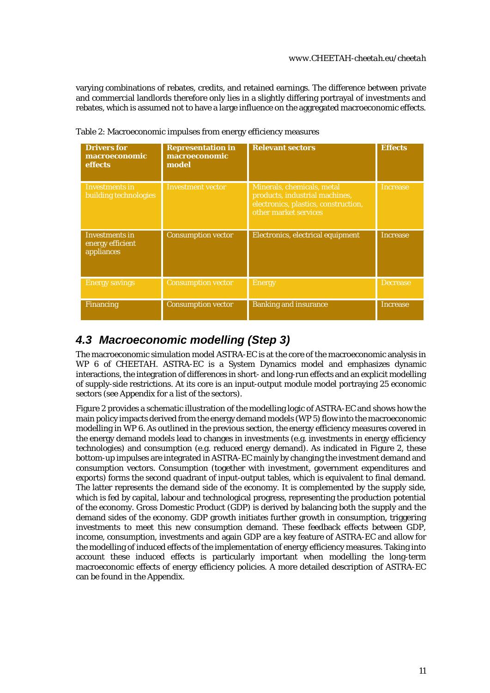varying combinations of rebates, credits, and retained earnings. The difference between private and commercial landlords therefore only lies in a slightly differing portrayal of investments and rebates, which is assumed not to have a large influence on the aggregated macroeconomic effects.

| <b>Drivers for</b><br>macroeconomic<br>effects          | <b>Representation in</b><br>macroeconomic<br>model | <b>Relevant sectors</b>                                                                                                       | <b>Effects</b>  |
|---------------------------------------------------------|----------------------------------------------------|-------------------------------------------------------------------------------------------------------------------------------|-----------------|
| Investments in<br>building technologies                 | <b>Investment vector</b>                           | Minerals, chemicals, metal<br>products, industrial machines,<br>electronics, plastics, construction,<br>other market services | <b>Increase</b> |
| <b>Investments in</b><br>energy efficient<br>appliances | <b>Consumption vector</b>                          | Electronics, electrical equipment                                                                                             | <b>Increase</b> |
| <b>Energy savings</b>                                   | <b>Consumption vector</b>                          | <b>Energy</b>                                                                                                                 | <b>Decrease</b> |
| <b>Financing</b>                                        | <b>Consumption vector</b>                          | <b>Banking and insurance</b>                                                                                                  | <b>Increase</b> |

<span id="page-10-1"></span>Table 2: Macroeconomic impulses from energy efficiency measures

## <span id="page-10-0"></span>*4.3 Macroeconomic modelling (Step 3)*

The macroeconomic simulation model ASTRA-EC is at the core of the macroeconomic analysis in WP 6 of CHEETAH. ASTRA-EC is a System Dynamics model and emphasizes dynamic interactions, the integration of differences in short- and long-run effects and an explicit modelling of supply-side restrictions. At its core is an input-output module model portraying 25 economic sectors (see Appendix for a list of the sectors).

[Figure 2](#page-11-0) provides a schematic illustration of the modelling logic of ASTRA-EC and shows how the main policy impacts derived from the energy demand models (WP 5) flow into the macroeconomic modelling in WP 6. As outlined in the previous section, the energy efficiency measures covered in the energy demand models lead to changes in investments (e.g. investments in energy efficiency technologies) and consumption (e.g. reduced energy demand). As indicated in [Figure 2,](#page-11-0) these bottom-up impulses are integrated in ASTRA-EC mainly by changing the investment demand and consumption vectors. Consumption (together with investment, government expenditures and exports) forms the second quadrant of input-output tables, which is equivalent to final demand. The latter represents the demand side of the economy. It is complemented by the supply side, which is fed by capital, labour and technological progress, representing the production potential of the economy. Gross Domestic Product (GDP) is derived by balancing both the supply and the demand sides of the economy. GDP growth initiates further growth in consumption, triggering investments to meet this new consumption demand. These feedback effects between GDP, income, consumption, investments and again GDP are a key feature of ASTRA-EC and allow for the modelling of induced effects of the implementation of energy efficiency measures. Taking into account these induced effects is particularly important when modelling the long-term macroeconomic effects of energy efficiency policies. A more detailed description of ASTRA-EC can be found in the Appendix.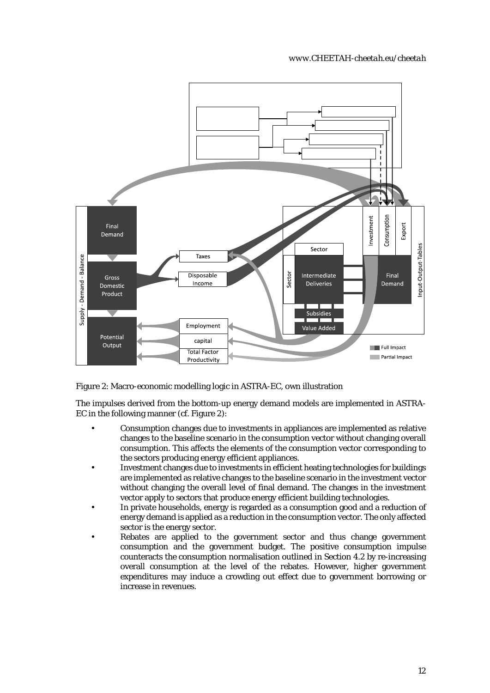

<span id="page-11-0"></span>Figure 2: Macro-economic modelling logic in ASTRA-EC, own illustration

The impulses derived from the bottom-up energy demand models are implemented in ASTRA-EC in the following manner (cf. [Figure 2\)](#page-11-0):

- Consumption changes due to investments in appliances are implemented as relative changes to the baseline scenario in the consumption vector without changing overall consumption. This affects the elements of the consumption vector corresponding to the sectors producing energy efficient appliances.
- Investment changes due to investments in efficient heating technologies for buildings are implemented as relative changes to the baseline scenario in the investment vector without changing the overall level of final demand. The changes in the investment vector apply to sectors that produce energy efficient building technologies.
- In private households, energy is regarded as a consumption good and a reduction of energy demand is applied as a reduction in the consumption vector. The only affected sector is the energy sector.
- Rebates are applied to the government sector and thus change government consumption and the government budget. The positive consumption impulse counteracts the consumption normalisation outlined in Section [4.2](#page-8-1) by re-increasing overall consumption at the level of the rebates. However, higher government expenditures may induce a crowding out effect due to government borrowing or increase in revenues.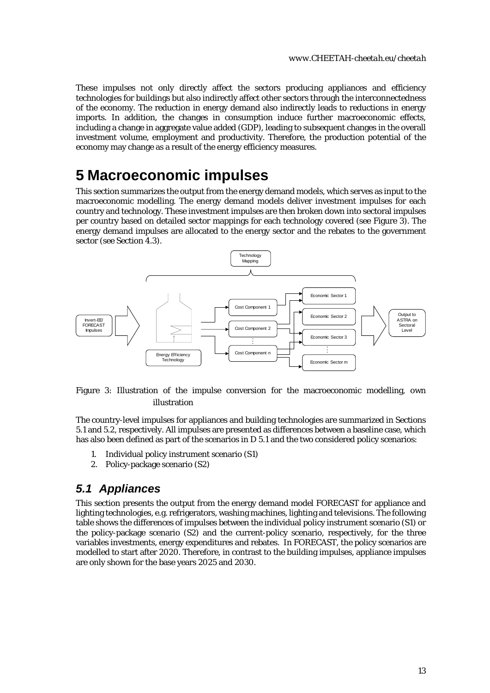These impulses not only directly affect the sectors producing appliances and efficiency technologies for buildings but also indirectly affect other sectors through the interconnectedness of the economy. The reduction in energy demand also indirectly leads to reductions in energy imports. In addition, the changes in consumption induce further macroeconomic effects, including a change in aggregate value added (GDP), leading to subsequent changes in the overall investment volume, employment and productivity. Therefore, the production potential of the economy may change as a result of the energy efficiency measures.

## <span id="page-12-0"></span>**5 Macroeconomic impulses**

This section summarizes the output from the energy demand models, which serves as input to the macroeconomic modelling. The energy demand models deliver investment impulses for each country and technology. These investment impulses are then broken down into sectoral impulses per country based on detailed sector mappings for each technology covered (see [Figure 3\)](#page-12-2). The energy demand impulses are allocated to the energy sector and the rebates to the government sector (see Section [4.3\)](#page-10-0).



#### <span id="page-12-2"></span>Figure 3: Illustration of the impulse conversion for the macroeconomic modelling, own illustration

The country-level impulses for appliances and building technologies are summarized in Sections [5.1](#page-12-1) and [5.2,](#page-13-0) respectively. All impulses are presented as differences between a baseline case, which has also been defined as part of the scenarios in D 5.1 and the two considered policy scenarios:

- 1. Individual policy instrument scenario (S1)
- 2. Policy-package scenario (S2)

### <span id="page-12-1"></span>*5.1 Appliances*

This section presents the output from the energy demand model FORECAST for appliance and lighting technologies, e.g. refrigerators, washing machines, lighting and televisions. The following table shows the differences of impulses between the individual policy instrument scenario (S1) or the policy-package scenario (S2) and the current-policy scenario, respectively, for the three variables investments, energy expenditures and rebates. In FORECAST, the policy scenarios are modelled to start after 2020. Therefore, in contrast to the building impulses, appliance impulses are only shown for the base years 2025 and 2030.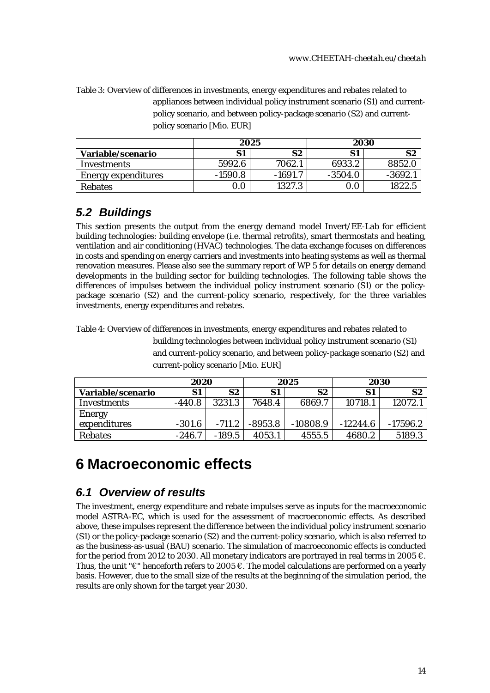<span id="page-13-3"></span>Table 3: Overview of differences in investments, energy expenditures and rebates related to appliances between individual policy instrument scenario (S1) and currentpolicy scenario, and between policy-package scenario (S2) and currentpolicy scenario [Mio. EUR]

|                            | 2025      |         | 2030      |          |
|----------------------------|-----------|---------|-----------|----------|
| Variable/scenario          | S1        | S2      | S1        | S2       |
| Investments                | 5992.6    | 7062.1  | 6933.2    | 8852.0   |
| <b>Energy expenditures</b> | $-1590.8$ | -1691.7 | $-3504.0$ | $-3692.$ |
| <b>Rebates</b>             |           | 1327.3  | 0.0       | 1822.5   |

## <span id="page-13-0"></span>*5.2 Buildings*

This section presents the output from the energy demand model Invert/EE-Lab for efficient building technologies: building envelope (i.e. thermal retrofits), smart thermostats and heating, ventilation and air conditioning (HVAC) technologies. The data exchange focuses on differences in costs and spending on energy carriers and investments into heating systems as well as thermal renovation measures. Please also see the summary report of WP 5 for details on energy demand developments in the building sector for building technologies. The following table shows the differences of impulses between the individual policy instrument scenario (S1) or the policypackage scenario (S2) and the current-policy scenario, respectively, for the three variables investments, energy expenditures and rebates.

<span id="page-13-4"></span>Table 4: Overview of differences in investments, energy expenditures and rebates related to

building technologies between individual policy instrument scenario (S1) and current-policy scenario, and between policy-package scenario (S2) and current-policy scenario [Mio. EUR]

|                   | 2020     |          | 2025      |            | 2030       |            |
|-------------------|----------|----------|-----------|------------|------------|------------|
| Variable/scenario | S1       | S2       | S1        | S2         | S1         | S2         |
| Investments       | $-440.8$ | 3231.3   | 7648.4    | 6869.7     | 10718.1    | 12072.1    |
| <b>Energy</b>     |          |          |           |            |            |            |
| expenditures      | $-301.6$ | $-711.2$ | $-8953.8$ | $-10808.9$ | $-12244.6$ | $-17596.2$ |
| <b>Rebates</b>    | $-246.7$ | $-189.5$ | 4053.1    | 4555.5     | 4680.2     | 5189.3     |

## <span id="page-13-1"></span>**6 Macroeconomic effects**

## <span id="page-13-2"></span>*6.1 Overview of results*

The investment, energy expenditure and rebate impulses serve as inputs for the macroeconomic model ASTRA-EC, which is used for the assessment of macroeconomic effects. As described above, these impulses represent the difference between the individual policy instrument scenario (S1) or the policy-package scenario (S2) and the current-policy scenario, which is also referred to as the business-as-usual (BAU) scenario. The simulation of macroeconomic effects is conducted for the period from 2012 to 2030. All monetary indicators are portrayed in real terms in 2005  $\epsilon$ . Thus, the unit " $\epsilon$ " henceforth refers to 2005  $\epsilon$ . The model calculations are performed on a yearly basis. However, due to the small size of the results at the beginning of the simulation period, the results are only shown for the target year 2030.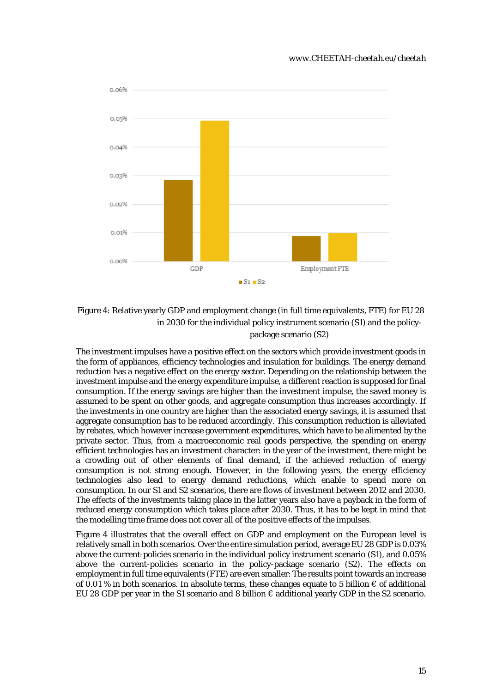

<span id="page-14-0"></span>Figure 4: Relative yearly GDP and employment change (in full time equivalents, FTE) for EU 28 in 2030 for the individual policy instrument scenario (S1) and the policypackage scenario (S2)

The investment impulses have a positive effect on the sectors which provide investment goods in the form of appliances, efficiency technologies and insulation for buildings. The energy demand reduction has a negative effect on the energy sector. Depending on the relationship between the investment impulse and the energy expenditure impulse, a different reaction is supposed for final consumption. If the energy savings are higher than the investment impulse, the saved money is assumed to be spent on other goods, and aggregate consumption thus increases accordingly. If the investments in one country are higher than the associated energy savings, it is assumed that aggregate consumption has to be reduced accordingly. This consumption reduction is alleviated by rebates, which however increase government expenditures, which have to be alimented by the private sector. Thus, from a macroeconomic real goods perspective, the spending on energy efficient technologies has an investment character: in the year of the investment, there might be a crowding out of other elements of final demand, if the achieved reduction of energy consumption is not strong enough. However, in the following years, the energy efficiency technologies also lead to energy demand reductions, which enable to spend more on consumption. In our S1 and S2 scenarios, there are flows of investment between 2012 and 2030. The effects of the investments taking place in the latter years also have a payback in the form of reduced energy consumption which takes place after 2030. Thus, it has to be kept in mind that the modelling time frame does not cover all of the positive effects of the impulses.

[Figure 4](#page-14-0) illustrates that the overall effect on GDP and employment on the European level is relatively small in both scenarios. Over the entire simulation period, average EU 28 GDP is 0.03% above the current-policies scenario in the individual policy instrument scenario (S1), and 0.05% above the current-policies scenario in the policy-package scenario (S2). The effects on employment in full time equivalents (FTE) are even smaller: The results point towards an increase of 0.01 % in both scenarios. In absolute terms, these changes equate to 5 billion  $\epsilon$  of additional EU 28 GDP per year in the S1 scenario and 8 billion € additional yearly GDP in the S2 scenario.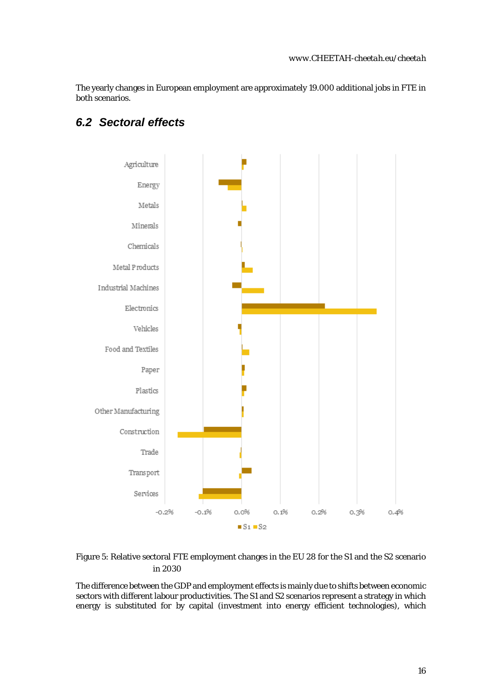The yearly changes in European employment are approximately 19.000 additional jobs in FTE in both scenarios.



### <span id="page-15-0"></span>*6.2 Sectoral effects*

<span id="page-15-1"></span>

The difference between the GDP and employment effects is mainly due to shifts between economic sectors with different labour productivities. The S1 and S2 scenarios represent a strategy in which energy is substituted for by capital (investment into energy efficient technologies), which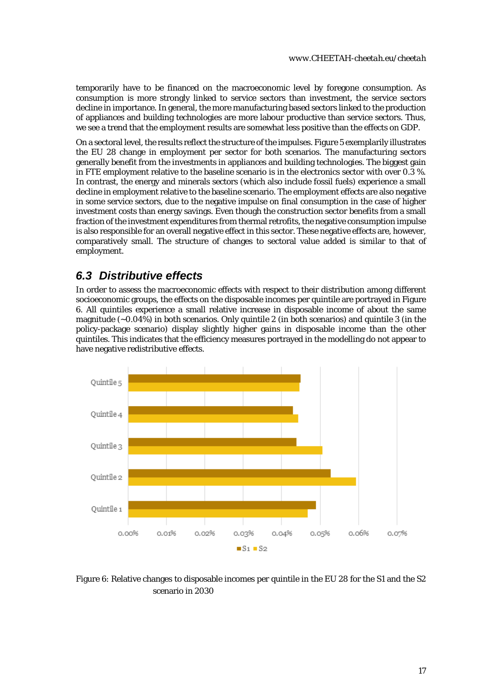temporarily have to be financed on the macroeconomic level by foregone consumption. As consumption is more strongly linked to service sectors than investment, the service sectors decline in importance. In general, the more manufacturing based sectors linked to the production of appliances and building technologies are more labour productive than service sectors. Thus, we see a trend that the employment results are somewhat less positive than the effects on GDP.

On a sectoral level, the results reflect the structure of the impulses[. Figure 5](#page-15-1) exemplarily illustrates the EU 28 change in employment per sector for both scenarios. The manufacturing sectors generally benefit from the investments in appliances and building technologies. The biggest gain in FTE employment relative to the baseline scenario is in the electronics sector with over 0.3 %. In contrast, the energy and minerals sectors (which also include fossil fuels) experience a small decline in employment relative to the baseline scenario. The employment effects are also negative in some service sectors, due to the negative impulse on final consumption in the case of higher investment costs than energy savings. Even though the construction sector benefits from a small fraction of the investment expenditures from thermal retrofits, the negative consumption impulse is also responsible for an overall negative effect in this sector. These negative effects are, however, comparatively small. The structure of changes to sectoral value added is similar to that of employment.

### <span id="page-16-0"></span>*6.3 Distributive effects*

In order to assess the macroeconomic effects with respect to their distribution among different socioeconomic groups, the effects on the disposable incomes per quintile are portrayed i[n Figure](#page-16-1)  [6.](#page-16-1) All quintiles experience a small relative increase in disposable income of about the same magnitude (~0.04%) in both scenarios. Only quintile 2 (in both scenarios) and quintile 3 (in the policy-package scenario) display slightly higher gains in disposable income than the other quintiles. This indicates that the efficiency measures portrayed in the modelling do not appear to have negative redistributive effects.



<span id="page-16-1"></span>Figure 6: Relative changes to disposable incomes per quintile in the EU 28 for the S1 and the S2 scenario in 2030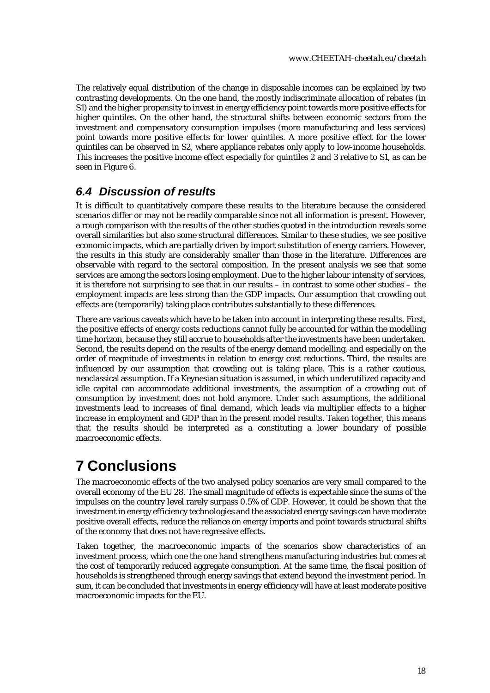The relatively equal distribution of the change in disposable incomes can be explained by two contrasting developments. On the one hand, the mostly indiscriminate allocation of rebates (in S1) and the higher propensity to invest in energy efficiency point towards more positive effects for higher quintiles. On the other hand, the structural shifts between economic sectors from the investment and compensatory consumption impulses (more manufacturing and less services) point towards more positive effects for lower quintiles. A more positive effect for the lower quintiles can be observed in S2, where appliance rebates only apply to low-income households. This increases the positive income effect especially for quintiles 2 and 3 relative to S1, as can be seen i[n Figure 6.](#page-16-1)

## <span id="page-17-0"></span>*6.4 Discussion of results*

It is difficult to quantitatively compare these results to the literature because the considered scenarios differ or may not be readily comparable since not all information is present. However, a rough comparison with the results of the other studies quoted in the introduction reveals some overall similarities but also some structural differences. Similar to these studies, we see positive economic impacts, which are partially driven by import substitution of energy carriers. However, the results in this study are considerably smaller than those in the literature. Differences are observable with regard to the sectoral composition. In the present analysis we see that some services are among the sectors losing employment. Due to the higher labour intensity of services, it is therefore not surprising to see that in our results – in contrast to some other studies – the employment impacts are less strong than the GDP impacts. Our assumption that crowding out effects are (temporarily) taking place contributes substantially to these differences.

There are various caveats which have to be taken into account in interpreting these results. First, the positive effects of energy costs reductions cannot fully be accounted for within the modelling time horizon, because they still accrue to households after the investments have been undertaken. Second, the results depend on the results of the energy demand modelling, and especially on the order of magnitude of investments in relation to energy cost reductions. Third, the results are influenced by our assumption that crowding out is taking place. This is a rather cautious, neoclassical assumption. If a Keynesian situation is assumed, in which underutilized capacity and idle capital can accommodate additional investments, the assumption of a crowding out of consumption by investment does not hold anymore. Under such assumptions, the additional investments lead to increases of final demand, which leads via multiplier effects to a higher increase in employment and GDP than in the present model results. Taken together, this means that the results should be interpreted as a constituting a lower boundary of possible macroeconomic effects.

# <span id="page-17-1"></span>**7 Conclusions**

The macroeconomic effects of the two analysed policy scenarios are very small compared to the overall economy of the EU 28. The small magnitude of effects is expectable since the sums of the impulses on the country level rarely surpass 0.5% of GDP. However, it could be shown that the investment in energy efficiency technologies and the associated energy savings can have moderate positive overall effects, reduce the reliance on energy imports and point towards structural shifts of the economy that does not have regressive effects.

Taken together, the macroeconomic impacts of the scenarios show characteristics of an investment process, which one the one hand strengthens manufacturing industries but comes at the cost of temporarily reduced aggregate consumption. At the same time, the fiscal position of households is strengthened through energy savings that extend beyond the investment period. In sum, it can be concluded that investments in energy efficiency will have at least moderate positive macroeconomic impacts for the EU.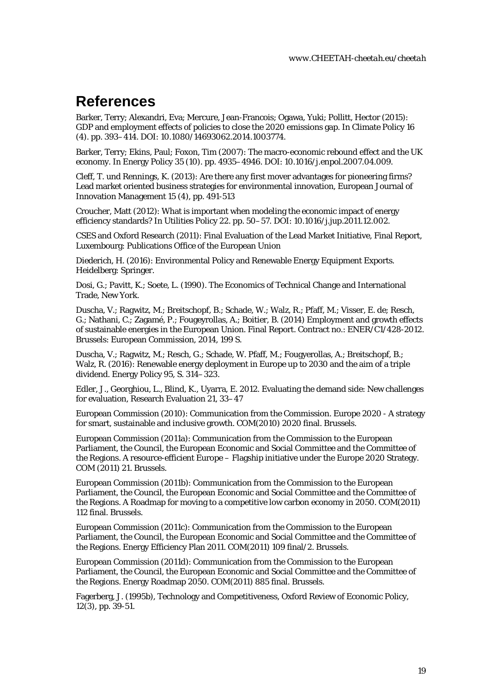## <span id="page-18-0"></span>**References**

Barker, Terry; Alexandri, Eva; Mercure, Jean-Francois; Ogawa, Yuki; Pollitt, Hector (2015): GDP and employment effects of policies to close the 2020 emissions gap. In Climate Policy 16 (4). pp. 393–414. DOI: 10.1080/14693062.2014.1003774.

Barker, Terry; Ekins, Paul; Foxon, Tim (2007): The macro-economic rebound effect and the UK economy. In Energy Policy 35 (10). pp. 4935–4946. DOI: 10.1016/j.enpol.2007.04.009.

Cleff, T. und Rennings, K. (2013): Are there any first mover advantages for pioneering firms? Lead market oriented business strategies for environmental innovation, [European Journal of](http://www.scopus.com/source/sourceInfo.url?sourceId=144961&origin=resultslist)  [Innovation Management](http://www.scopus.com/source/sourceInfo.url?sourceId=144961&origin=resultslist) 15 (4), pp. 491-513

Croucher, Matt (2012): What is important when modeling the economic impact of energy efficiency standards? In Utilities Policy 22. pp. 50–57. DOI: 10.1016/j.jup.2011.12.002.

CSES and Oxford Research (2011): Final Evaluation of the Lead Market Initiative, Final Report, Luxembourg: Publications Office of the European Union

Diederich, H. (2016): Environmental Policy and Renewable Energy Equipment Exports. Heidelberg: Springer.

Dosi, G.; Pavitt, K.; Soete, L. (1990). The Economics of Technical Change and International Trade, New York.

Duscha, V.; Ragwitz, M.; Breitschopf, B.; Schade, W.; Walz, R.; Pfaff, M.; Visser, E. de; Resch, G.; Nathani, C.; Zagamé, P.; Fougeyrollas, A.; Boitier, B. (2014) Employment and growth effects of sustainable energies in the European Union. Final Report. Contract no.: ENER/C1/428-2012. Brussels: European Commission, 2014, 199 S.

Duscha, V.; Ragwitz, M.; Resch, G.; Schade, W. Pfaff, M.; Fougyerollas, A.; Breitschopf, B.; Walz, R. (2016): Renewable energy deployment in Europe up to 2030 and the aim of a triple dividend. Energy Policy 95, S. 314–323.

Edler, J., Georghiou, L., Blind, K., Uyarra, E. 2012. Evaluating the demand side: New challenges for evaluation, Research Evaluation 21, 33–47

European Commission (2010): Communication from the Commission. Europe 2020 - A strategy for smart, sustainable and inclusive growth. COM(2010) 2020 final. Brussels.

European Commission (2011a): Communication from the Commission to the European Parliament, the Council, the European Economic and Social Committee and the Committee of the Regions. A resource-efficient Europe – Flagship initiative under the Europe 2020 Strategy. COM (2011) 21. Brussels.

European Commission (2011b): Communication from the Commission to the European Parliament, the Council, the European Economic and Social Committee and the Committee of the Regions. A Roadmap for moving to a competitive low carbon economy in 2050. COM(2011) 112 final. Brussels.

European Commission (2011c): Communication from the Commission to the European Parliament, the Council, the European Economic and Social Committee and the Committee of the Regions. Energy Efficiency Plan 2011. COM(2011) 109 final/2. Brussels.

European Commission (2011d): Communication from the Commission to the European Parliament, the Council, the European Economic and Social Committee and the Committee of the Regions. Energy Roadmap 2050. COM(2011) 885 final. Brussels.

Fagerberg, J. (1995b), Technology and Competitiveness, Oxford Review of Economic Policy, 12(3), pp. 39-51.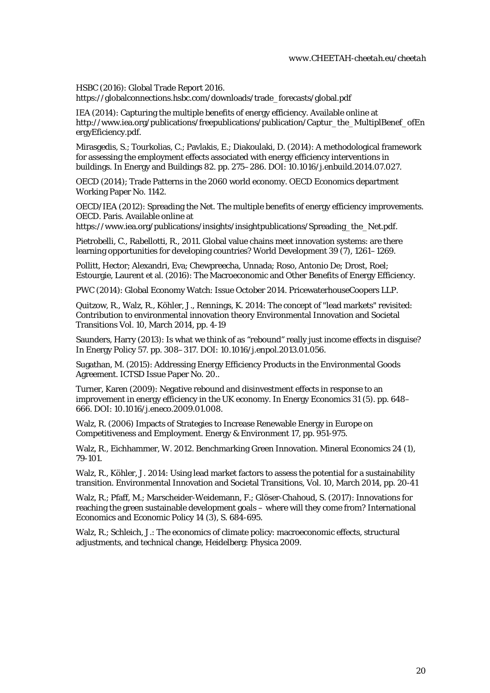HSBC (2016): Global Trade Report 2016.

https://globalconnections.hsbc.com/downloads/trade\_forecasts/global.pdf

IEA (2014): Capturing the multiple benefits of energy efficiency. Available online at http://www.iea.org/publications/freepublications/publication/Captur\_the\_MultiplBenef\_ofEn ergyEficiency.pdf.

Mirasgedis, S.; Tourkolias, C.; Pavlakis, E.; Diakoulaki, D. (2014): A methodological framework for assessing the employment effects associated with energy efficiency interventions in buildings. In Energy and Buildings 82. pp. 275–286. DOI: 10.1016/j.enbuild.2014.07.027.

OECD (2014); Trade Patterns in the 2060 world economy. OECD Economics department Working Paper No. 1142.

OECD/IEA (2012): Spreading the Net. The multiple benefits of energy efficiency improvements. OECD. Paris. Available online at

https://www.iea.org/publications/insights/insightpublications/Spreading\_the\_Net.pdf.

Pietrobelli, C., Rabellotti, R., 2011. Global value chains meet innovation systems: are there learning opportunities for developing countries? World Development 39 (7), 1261–1269.

Pollitt, Hector; Alexandri, Eva; Chewpreecha, Unnada; Roso, Antonio De; Drost, Roel; Estourgie, Laurent et al. (2016): The Macroeconomic and Other Benefits of Energy Efficiency.

PWC (2014): Global Economy Watch: Issue October 2014. PricewaterhouseCoopers LLP.

[Quitzow, R.,](http://www.scopus.com/authid/detail.url?authorId=55966478700&eid=2-s2.0-84894088108) [Walz, R.,](http://www.scopus.com/authid/detail.url?authorId=7005843091&eid=2-s2.0-84894088108) [Köhler, J.,](http://www.scopus.com/authid/detail.url?authorId=7202427420&eid=2-s2.0-84894088108) [Rennings, K.](http://www.scopus.com/authid/detail.url?authorId=6603617557&eid=2-s2.0-84894088108) 2014: The concept of "lead markets" revisited: Contribution to environmental innovation theory [Environmental Innovation and Societal](http://www.scopus.com/source/sourceInfo.url?sourceId=19700201681&origin=recordpage)  [Transitions](http://www.scopus.com/source/sourceInfo.url?sourceId=19700201681&origin=recordpage) Vol. 10, March 2014, pp. 4-19

Saunders, Harry (2013): Is what we think of as "rebound" really just income effects in disguise? In Energy Policy 57. pp. 308–317. DOI: 10.1016/j.enpol.2013.01.056.

Sugathan, M. (2015): Addressing Energy Efficiency Products in the Environmental Goods Agreement. ICTSD Issue Paper No. 20..

Turner, Karen (2009): Negative rebound and disinvestment effects in response to an improvement in energy efficiency in the UK economy. In Energy Economics 31 (5). pp. 648– 666. DOI: 10.1016/j.eneco.2009.01.008.

Walz, R. (2006) Impacts of Strategies to Increase Renewable Energy in Europe on Competitiveness and Employment. Energy & Environment 17, pp. 951-975.

Walz, R., Eichhammer, W. 2012. Benchmarking Green Innovation. Mineral Economics 24 (1), 79-101.

[Walz, R.,](http://www.scopus.com/authid/detail.url?origin=resultslist&authorId=7005843091&zone=) [Köhler, J.](http://www.scopus.com/authid/detail.url?origin=resultslist&authorId=7202427420&zone=) 2014[: Using lead market factors to assess the potential for a sustainability](http://www.scopus.com/record/display.url?eid=2-s2.0-84894092112&origin=resultslist&sort=plf-f&src=s&st1=Walz&st2=Rainer&nlo=1&nlr=20&nls=&sid=D536CF9149D72D66C74210DB2EA9FFDD.FZg2ODcJC9ArCe8WOZPvA%3a62&sot=anl&sdt=aut&sl=32&s=AU-ID%28%22Walz%2c+Rainer%22+7005843091%29&relpos=3&relpos=3&citeCnt=2&searchTerm=AU-ID%28%5C%26quot%3BWalz%2C+Rainer%5C%26quot%3B+7005843091%29)  [transition.](http://www.scopus.com/record/display.url?eid=2-s2.0-84894092112&origin=resultslist&sort=plf-f&src=s&st1=Walz&st2=Rainer&nlo=1&nlr=20&nls=&sid=D536CF9149D72D66C74210DB2EA9FFDD.FZg2ODcJC9ArCe8WOZPvA%3a62&sot=anl&sdt=aut&sl=32&s=AU-ID%28%22Walz%2c+Rainer%22+7005843091%29&relpos=3&relpos=3&citeCnt=2&searchTerm=AU-ID%28%5C%26quot%3BWalz%2C+Rainer%5C%26quot%3B+7005843091%29) [Environmental Innovation and Societal Transitions,](http://www.scopus.com/source/sourceInfo.url?sourceId=19700201681&origin=recordpage) Vol. 10, March 2014, pp. 20-41

Walz, R.; Pfaff, M.; Marscheider-Weidemann, F.; Glöser-Chahoud, S. (2017): Innovations for reaching the green sustainable development goals – where will they come from? International Economics and Economic Policy 14 (3), S. 684-695.

Walz, R.; Schleich, J.: The economics of climate policy: macroeconomic effects, structural adjustments, and technical change, Heidelberg: Physica 2009.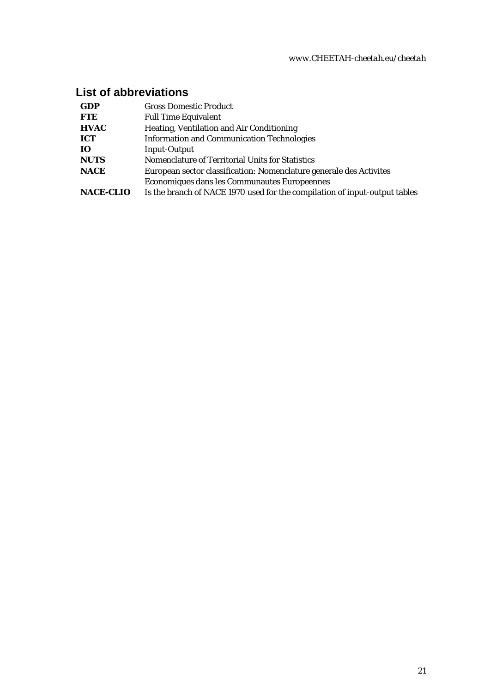## **List of abbreviations**

| <b>GDP</b>       | <b>Gross Domestic Product</b>                                              |
|------------------|----------------------------------------------------------------------------|
| <b>FTE</b>       | <b>Full Time Equivalent</b>                                                |
| <b>HVAC</b>      | Heating, Ventilation and Air Conditioning                                  |
| ICT              | <b>Information and Communication Technologies</b>                          |
| IO.              | <b>Input-Output</b>                                                        |
| <b>NUTS</b>      | Nomenclature of Territorial Units for Statistics                           |
| <b>NACE</b>      | European sector classification: Nomenclature generale des Activites        |
|                  | Economiques dans les Communautes Europeennes                               |
| <b>NACE-CLIO</b> | Is the branch of NACE 1970 used for the compilation of input-output tables |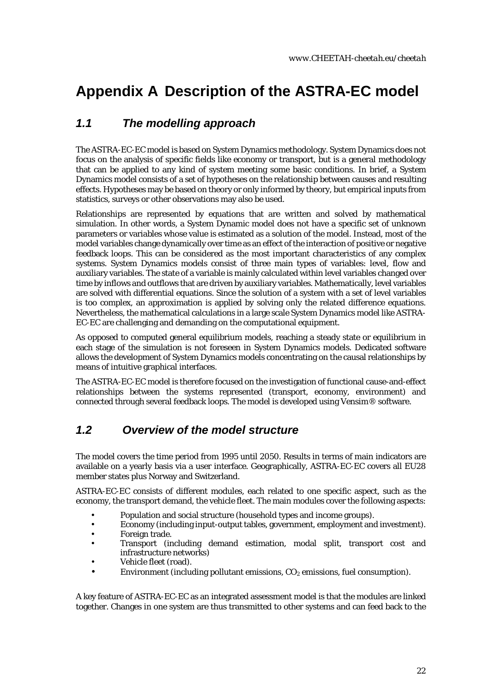# <span id="page-21-0"></span>**Appendix A Description of the ASTRA-EC model**

## *1.1 The modelling approach*

The ASTRA-EC-EC model is based on System Dynamics methodology. System Dynamics does not focus on the analysis of specific fields like economy or transport, but is a general methodology that can be applied to any kind of system meeting some basic conditions. In brief, a System Dynamics model consists of a set of hypotheses on the relationship between causes and resulting effects. Hypotheses may be based on theory or only informed by theory, but empirical inputs from statistics, surveys or other observations may also be used.

Relationships are represented by equations that are written and solved by mathematical simulation. In other words, a System Dynamic model does not have a specific set of unknown parameters or variables whose value is estimated as a solution of the model. Instead, most of the model variables change dynamically over time as an effect of the interaction of positive or negative feedback loops. This can be considered as the most important characteristics of any complex systems. System Dynamics models consist of three main types of variables: level, flow and auxiliary variables. The state of a variable is mainly calculated within level variables changed over time by inflows and outflows that are driven by auxiliary variables. Mathematically, level variables are solved with differential equations. Since the solution of a system with a set of level variables is too complex, an approximation is applied by solving only the related difference equations. Nevertheless, the mathematical calculations in a large scale System Dynamics model like ASTRA-EC-EC are challenging and demanding on the computational equipment.

As opposed to computed general equilibrium models, reaching a steady state or equilibrium in each stage of the simulation is not foreseen in System Dynamics models. Dedicated software allows the development of System Dynamics models concentrating on the causal relationships by means of intuitive graphical interfaces.

The ASTRA-EC-EC model is therefore focused on the investigation of functional cause-and-effect relationships between the systems represented (transport, economy, environment) and connected through several feedback loops. The model is developed using Vensim® software.

## <span id="page-21-1"></span>*1.2 Overview of the model structure*

The model covers the time period from 1995 until 2050. Results in terms of main indicators are available on a yearly basis via a user interface. Geographically, ASTRA-EC-EC covers all EU28 member states plus Norway and Switzerland.

ASTRA-EC-EC consists of different modules, each related to one specific aspect, such as the economy, the transport demand, the vehicle fleet. The main modules cover the following aspects:

- Population and social structure (household types and income groups).
- Economy (including input-output tables, government, employment and investment).
- Foreign trade.
- Transport (including demand estimation, modal split, transport cost and infrastructure networks)
- Vehicle fleet (road).
- Environment (including pollutant emissions,  $CO<sub>2</sub>$  emissions, fuel consumption).

A key feature of ASTRA-EC-EC as an integrated assessment model is that the modules are linked together. Changes in one system are thus transmitted to other systems and can feed back to the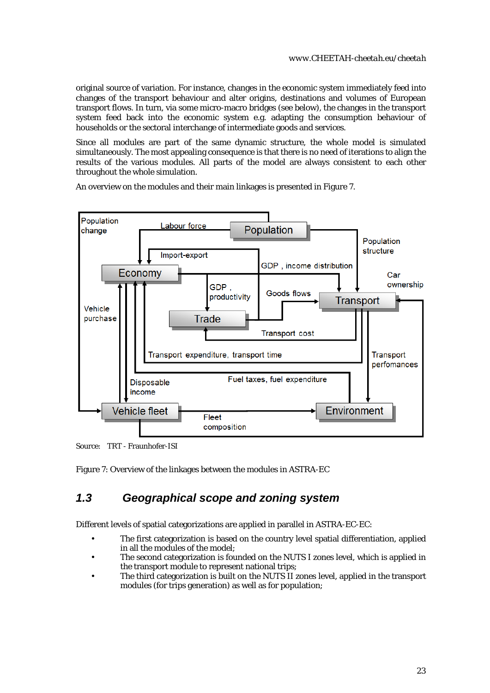original source of variation. For instance, changes in the economic system immediately feed into changes of the transport behaviour and alter origins, destinations and volumes of European transport flows. In turn, via some micro-macro bridges (see below), the changes in the transport system feed back into the economic system e.g. adapting the consumption behaviour of households or the sectoral interchange of intermediate goods and services.

Since all modules are part of the same dynamic structure, the whole model is simulated simultaneously. The most appealing consequence is that there is no need of iterations to align the results of the various modules. All parts of the model are always consistent to each other throughout the whole simulation.

An overview on the modules and their main linkages is presented in [Figure 7](#page-22-1).



Source: TRT - Fraunhofer-ISI

<span id="page-22-1"></span>Figure 7: Overview of the linkages between the modules in ASTRA-EC

## <span id="page-22-0"></span>*1.3 Geographical scope and zoning system*

Different levels of spatial categorizations are applied in parallel in ASTRA-EC-EC:

- The first categorization is based on the country level spatial differentiation, applied in all the modules of the model;
- The second categorization is founded on the NUTS I zones level, which is applied in the transport module to represent national trips;
- The third categorization is built on the NUTS II zones level, applied in the transport modules (for trips generation) as well as for population;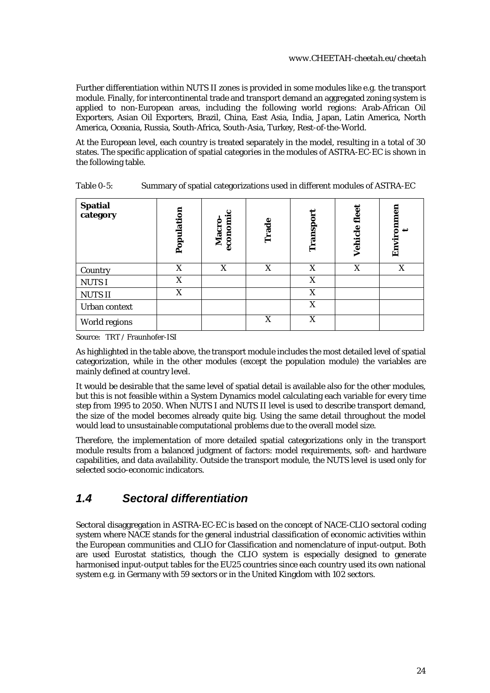Further differentiation within NUTS II zones is provided in some modules like e.g. the transport module. Finally, for intercontinental trade and transport demand an aggregated zoning system is applied to non-European areas, including the following world regions: Arab-African Oil Exporters, Asian Oil Exporters, Brazil, China, East Asia, India, Japan, Latin America, North America, Oceania, Russia, South-Africa, South-Asia, Turkey, Rest-of-the-World.

At the European level, each country is treated separately in the model, resulting in a total of 30 states. The specific application of spatial categories in the modules of ASTRA-EC-EC is shown in the following table.

| Spatial<br>category | Population | economi<br>Macro | Φ<br>Trad | Transpor | Vehicle fleet | Environmen |
|---------------------|------------|------------------|-----------|----------|---------------|------------|
| Country             | X          | X                | X         | X        | X             | X          |
| <b>NUTSI</b>        | X          |                  |           | X        |               |            |
| <b>NUTSII</b>       | X          |                  |           | X        |               |            |
| Urban context       |            |                  |           | X        |               |            |
| World regions       |            |                  | X         | X        |               |            |

<span id="page-23-1"></span>Table 0-5: Summary of spatial categorizations used in different modules of ASTRA-EC

Source: TRT / Fraunhofer-ISI

As highlighted in the table above, the transport module includes the most detailed level of spatial categorization, while in the other modules (except the population module) the variables are mainly defined at country level.

It would be desirable that the same level of spatial detail is available also for the other modules, but this is not feasible within a System Dynamics model calculating each variable for every time step from 1995 to 2050. When NUTS I and NUTS II level is used to describe transport demand, the size of the model becomes already quite big. Using the same detail throughout the model would lead to unsustainable computational problems due to the overall model size.

Therefore, the implementation of more detailed spatial categorizations only in the transport module results from a balanced judgment of factors: model requirements, soft- and hardware capabilities, and data availability. Outside the transport module, the NUTS level is used only for selected socio-economic indicators.

## <span id="page-23-0"></span>*1.4 Sectoral differentiation*

Sectoral disaggregation in ASTRA-EC-EC is based on the concept of *NACE-CLIO* sectoral coding system where NACE stands for the general industrial classification of economic activities within the European communities and CLIO for Classification and nomenclature of input-output. Both are used Eurostat statistics, though the CLIO system is especially designed to generate harmonised input-output tables for the EU25 countries since each country used its own national system e.g. in Germany with 59 sectors or in the United Kingdom with 102 sectors.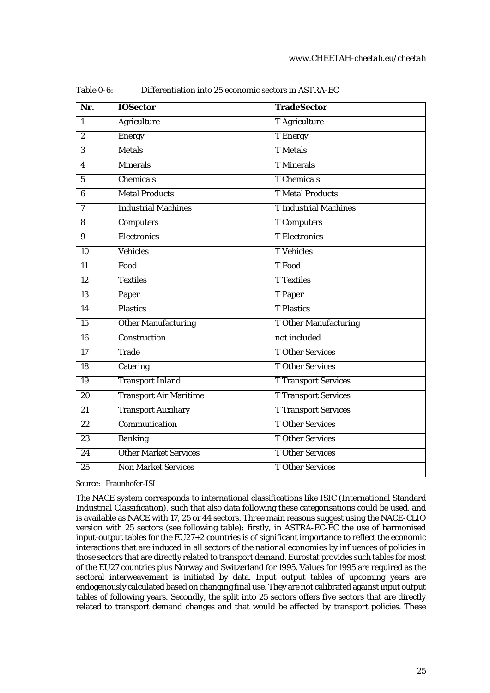| Nr.                     | <b>IOSector</b>               | <b>TradeSector</b>           |
|-------------------------|-------------------------------|------------------------------|
| $\mathbf{1}$            | <b>Agriculture</b>            | <b>T</b> Agriculture         |
| $\boldsymbol{2}$        | <b>Energy</b>                 | <b>T</b> Energy              |
| 3                       | <b>Metals</b>                 | <b>T</b> Metals              |
| $\overline{\mathbf{4}}$ | <b>Minerals</b>               | <b>T</b> Minerals            |
| $\overline{5}$          | Chemicals                     | <b>T</b> Chemicals           |
| 6                       | <b>Metal Products</b>         | <b>T</b> Metal Products      |
| $\overline{7}$          | <b>Industrial Machines</b>    | <b>T</b> Industrial Machines |
| 8                       | <b>Computers</b>              | <b>T</b> Computers           |
| 9                       | <b>Electronics</b>            | <b>T</b> Electronics         |
| 10                      | Vehicles                      | <b>T</b> Vehicles            |
| 11                      | Food                          | T Food                       |
| $\overline{12}$         | <b>Textiles</b>               | <b>T</b> Textiles            |
| $\overline{13}$         | Paper                         | T Paper                      |
| 14                      | <b>Plastics</b>               | <b>T</b> Plastics            |
| $\overline{15}$         | <b>Other Manufacturing</b>    | <b>T Other Manufacturing</b> |
| 16                      | Construction                  | not included                 |
| 17                      | Trade                         | <b>T</b> Other Services      |
| 18                      | Catering                      | <b>T</b> Other Services      |
| $\overline{19}$         | <b>Transport Inland</b>       | <b>T Transport Services</b>  |
| $\overline{20}$         | <b>Transport Air Maritime</b> | <b>T Transport Services</b>  |
| 21                      | <b>Transport Auxiliary</b>    | <b>T Transport Services</b>  |
| $\overline{22}$         | Communication                 | <b>T</b> Other Services      |
| 23                      | <b>Banking</b>                | <b>T</b> Other Services      |
| 24                      | <b>Other Market Services</b>  | <b>T</b> Other Services      |
| 25                      | <b>Non Market Services</b>    | <b>TOther Services</b>       |

<span id="page-24-0"></span>Table 0-6: Differentiation into 25 economic sectors in ASTRA-EC

Source: Fraunhofer-ISI

The NACE system corresponds to international classifications like *ISIC* (International Standard Industrial Classification), such that also data following these categorisations could be used, and is available as NACE with 17, 25 or 44 sectors. Three main reasons suggest using the NACE-CLIO version with 25 sectors (see following table): firstly, in ASTRA-EC-EC the use of harmonised input-output tables for the EU27+2 countries is of significant importance to reflect the economic interactions that are induced in all sectors of the national economies by influences of policies in those sectors that are directly related to transport demand. Eurostat provides such tables for most of the EU27 countries plus Norway and Switzerland for 1995. Values for 1995 are required as the sectoral interweavement is initiated by data. Input output tables of upcoming years are endogenously calculated based on changing final use. They are not calibrated against input output tables of following years. Secondly, the split into 25 sectors offers five sectors that are directly related to transport demand changes and that would be affected by transport policies. These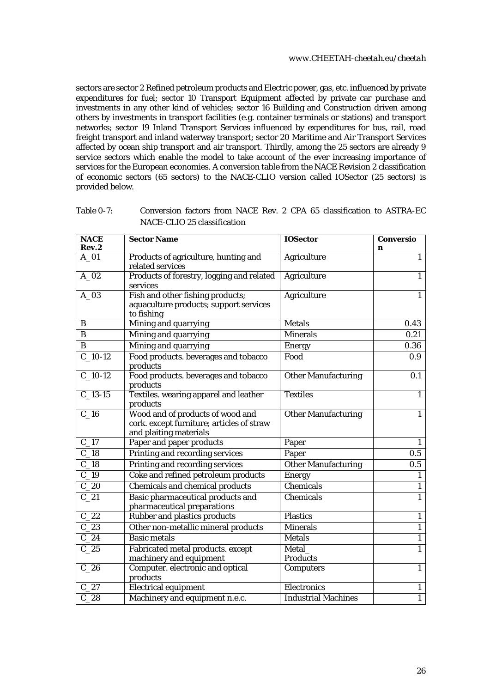sectors are sector 2 Refined petroleum products and Electric power, gas, etc. influenced by private expenditures for fuel; sector 10 Transport Equipment affected by private car purchase and investments in any other kind of vehicles; sector 16 Building and Construction driven among others by investments in transport facilities (e.g. container terminals or stations) and transport networks; sector 19 Inland Transport Services influenced by expenditures for bus, rail, road freight transport and inland waterway transport; sector 20 Maritime and Air Transport Services affected by ocean ship transport and air transport. Thirdly, among the 25 sectors are already 9 service sectors which enable the model to take account of the ever increasing importance of services for the European economies. A conversion table from the NACE Revision 2 classification of economic sectors (65 sectors) to the NACE-CLIO version called IOSector (25 sectors) is provided below.

<span id="page-25-0"></span>

| Table 0-7: | Conversion factors from NACE Rev. 2 CPA 65 classification to ASTRA-EC |
|------------|-----------------------------------------------------------------------|
|            | NACE-CLIO 25 classification                                           |

| <b>NACE</b><br>Rev.2 | <b>Sector Name</b>                                                                                      | <b>IOSector</b>            | <b>Conversio</b><br>n |
|----------------------|---------------------------------------------------------------------------------------------------------|----------------------------|-----------------------|
| $A_01$               | Products of agriculture, hunting and<br>related services                                                | <b>Agriculture</b>         | $\overline{1}$        |
| $A_02$               | Products of forestry, logging and related<br>services                                                   | Agriculture                | $\overline{1}$        |
| $A_03$               | Fish and other fishing products;<br>aquaculture products; support services<br>to fishing                | Agriculture                | $\mathbf{1}$          |
| B                    | Mining and quarrying                                                                                    | <b>Metals</b>              | 0.43                  |
| B                    | Mining and quarrying                                                                                    | <b>Minerals</b>            | 0.21                  |
| $\bf{B}$             | Mining and quarrying                                                                                    | <b>Energy</b>              | 0.36                  |
| $C_1$ 10-12          | Food products. beverages and tobacco<br>products                                                        | Food                       | 0.9                   |
| $C_1$ 10-12          | Food products. beverages and tobacco<br>products                                                        | <b>Other Manufacturing</b> | $\overline{0.1}$      |
| $C_13-15$            | Textiles. wearing apparel and leather<br>products                                                       | <b>Textiles</b>            | $\overline{1}$        |
| $C_1$ 16             | Wood and of products of wood and<br>cork. except furniture; articles of straw<br>and plaiting materials | <b>Other Manufacturing</b> | $\mathbf{1}$          |
| $C_1$ 17             | Paper and paper products                                                                                | Paper                      | $\mathbf{1}$          |
| $C_18$               | Printing and recording services                                                                         | Paper                      | $\overline{0.5}$      |
| C <sub>18</sub>      | Printing and recording services                                                                         | Other Manufacturing        | 0.5                   |
| $C_19$               | Coke and refined petroleum products                                                                     | <b>Energy</b>              | $\mathbf{1}$          |
| $C_2$                | <b>Chemicals and chemical products</b>                                                                  | <b>Chemicals</b>           | $\mathbf{1}$          |
| $C_2$                | Basic pharmaceutical products and<br>pharmaceutical preparations                                        | Chemicals                  | $\overline{1}$        |
| C <sub>22</sub>      | Rubber and plastics products                                                                            | <b>Plastics</b>            | $\mathbf{1}$          |
| C <sub>23</sub>      | Other non-metallic mineral products                                                                     | <b>Minerals</b>            | $\overline{1}$        |
| $C_2$ 24             | <b>Basic metals</b>                                                                                     | <b>Metals</b>              | $\mathbf{1}$          |
| $C_25$               | Fabricated metal products. except<br>machinery and equipment                                            | Metal<br><b>Products</b>   | $\overline{1}$        |
| $C_2$ 8              | Computer. electronic and optical<br>products                                                            | Computers                  | $\overline{1}$        |
| $C_2$ 27             | <b>Electrical equipment</b>                                                                             | Electronics                | $\mathbf{1}$          |
| $\overline{C}$ 28    | Machinery and equipment n.e.c.                                                                          | <b>Industrial Machines</b> | $\overline{1}$        |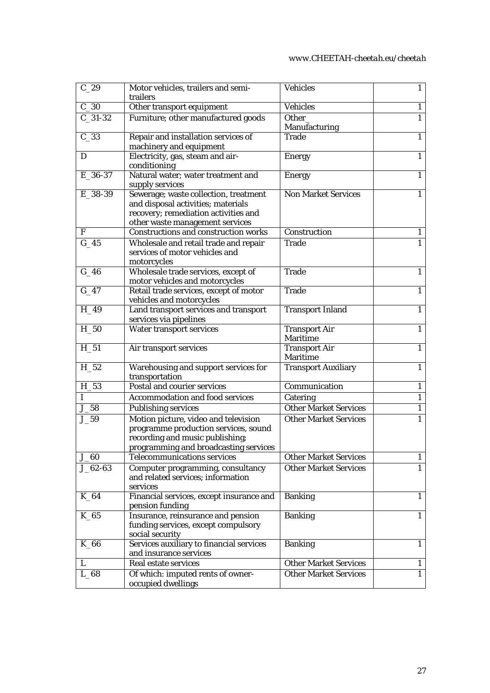#### *[www.CHEETAH-cheetah.eu/cheetah](https://www.briskee-cheetah.eu/cheetah/)*

| $C_29$      | Motor vehicles, trailers and semi-                                          | <b>Vehicles</b>                         | $\mathbf{1}$ |
|-------------|-----------------------------------------------------------------------------|-----------------------------------------|--------------|
| $C_30$      | trailers<br>Other transport equipment                                       | <b>Vehicles</b>                         | $\mathbf{1}$ |
| $C_31-32$   |                                                                             | Other_                                  | $\mathbf{1}$ |
|             | Furniture; other manufactured goods                                         | Manufacturing                           |              |
| $C_33$      | Repair and installation services of<br>machinery and equipment              | <b>Trade</b>                            | 1            |
| D           | Electricity, gas, steam and air-<br>conditioning                            | <b>Energy</b>                           | 1            |
| E_36-37     | Natural water; water treatment and<br>supply services                       | <b>Energy</b>                           | 1            |
| E_38-39     | Sewerage; waste collection, treatment                                       | <b>Non Market Services</b>              |              |
|             | and disposal activities; materials                                          |                                         |              |
|             | recovery; remediation activities and                                        |                                         |              |
|             | other waste management services                                             |                                         |              |
| $\mathbf F$ | Constructions and construction works                                        | Construction                            |              |
| $G_45$      | Wholesale and retail trade and repair<br>services of motor vehicles and     | <b>Trade</b>                            |              |
|             | motorcycles                                                                 |                                         |              |
| $G_46$      | Wholesale trade services, except of                                         | <b>Trade</b>                            | 1            |
|             | motor vehicles and motorcycles                                              |                                         |              |
| $G_47$      | Retail trade services, except of motor                                      | <b>Trade</b>                            | 1            |
|             | vehicles and motorcycles                                                    |                                         |              |
| $H_49$      | Land transport services and transport                                       | <b>Transport Inland</b>                 | 1            |
|             | services via pipelines                                                      |                                         |              |
| $H_50$      | Water transport services                                                    | <b>Transport Air</b>                    | 1            |
|             |                                                                             | <b>Maritime</b>                         |              |
| $H_51$      | Air transport services                                                      | <b>Transport Air</b><br><b>Maritime</b> | $\mathbf{1}$ |
| $H_52$      | Warehousing and support services for                                        | <b>Transport Auxiliary</b>              | $\mathbf{1}$ |
| H 53        | transportation<br><b>Postal and courier services</b>                        | Communication                           |              |
|             |                                                                             |                                         | $\mathbf{1}$ |
| Ι           | <b>Accommodation and food services</b>                                      | Catering                                | $\mathbf{1}$ |
| $J_58$      | <b>Publishing services</b>                                                  | <b>Other Market Services</b>            | $\mathbf{1}$ |
| $J_59$      | Motion picture, video and television                                        | <b>Other Market Services</b>            |              |
|             | programme production services, sound                                        |                                         |              |
|             | recording and music publishing;                                             |                                         |              |
|             | programming and broadcasting services<br><b>Telecommunications services</b> | <b>Other Market Services</b>            |              |
| $J_60$      |                                                                             | <b>Other Market Services</b>            | 1<br>1       |
| $J_{62-63}$ | Computer programming, consultancy<br>and related services; information      |                                         |              |
|             | services                                                                    |                                         |              |
| $K_64$      | Financial services, except insurance and<br>pension funding                 | <b>Banking</b>                          | 1            |
| $K_{65}$    | Insurance, reinsurance and pension                                          | <b>Banking</b>                          | 1            |
|             | funding services, except compulsory                                         |                                         |              |
|             | social security                                                             |                                         |              |
| $K_{66}$    | Services auxiliary to financial services                                    | <b>Banking</b>                          | 1            |
|             | and insurance services                                                      |                                         |              |
| L           | Real estate services                                                        | <b>Other Market Services</b>            | 1            |
| $L_{68}$    | Of which: imputed rents of owner-<br>occupied dwellings                     | <b>Other Market Services</b>            | 1            |